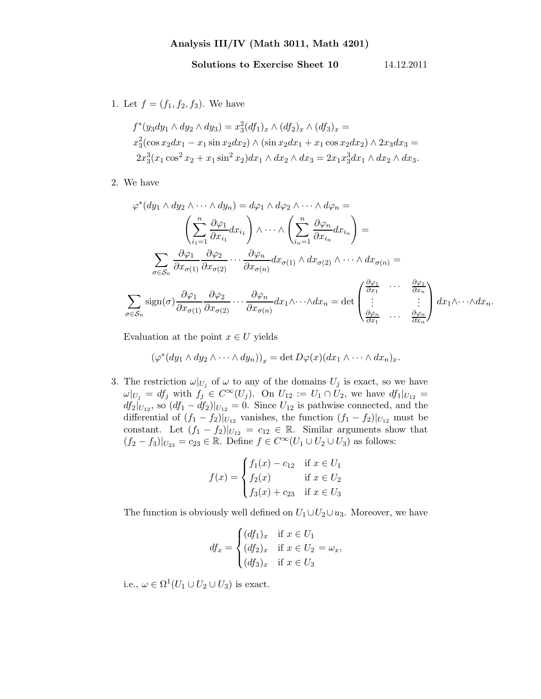## Solutions to Exercise Sheet 10 14.12.2011

1. Let  $f = (f_1, f_2, f_3)$ . We have

$$
f^*(y_3dy_1 \wedge dy_2 \wedge dy_3) = x_3^2(df_1)_x \wedge (df_2)_x \wedge (df_3)_x =
$$
  
\n
$$
x_3^2(\cos x_2dx_1 - x_1\sin x_2dx_2) \wedge (\sin x_2dx_1 + x_1\cos x_2dx_2) \wedge 2x_3dx_3 =
$$
  
\n
$$
2x_3^3(x_1\cos^2 x_2 + x_1\sin^2 x_2)dx_1 \wedge dx_2 \wedge dx_3 = 2x_1x_3^3dx_1 \wedge dx_2 \wedge dx_3.
$$

2. We have

$$
\varphi^*(dy_1 \wedge dy_2 \wedge \cdots \wedge dy_n) = d\varphi_1 \wedge d\varphi_2 \wedge \cdots \wedge d\varphi_n =
$$
\n
$$
\left(\sum_{i_1=1}^n \frac{\partial \varphi_1}{\partial x_{i_1}} dx_{i_1}\right) \wedge \cdots \wedge \left(\sum_{i_n=1}^n \frac{\partial \varphi_n}{\partial x_{i_n}} dx_{i_n}\right) =
$$
\n
$$
\sum_{\sigma \in S_n} \frac{\partial \varphi_1}{\partial x_{\sigma(1)}} \frac{\partial \varphi_2}{\partial x_{\sigma(2)}} \cdots \frac{\partial \varphi_n}{\partial x_{\sigma(n)}} dx_{\sigma(1)} \wedge dx_{\sigma(2)} \wedge \cdots \wedge dx_{\sigma(n)} =
$$
\n
$$
\sum_{\sigma \in S_n} sign(\sigma) \frac{\partial \varphi_1}{\partial x_{\sigma(1)}} \frac{\partial \varphi_2}{\partial x_{\sigma(2)}} \cdots \frac{\partial \varphi_n}{\partial x_{\sigma(n)}} dx_1 \wedge \cdots \wedge dx_n = det \begin{pmatrix} \frac{\partial \varphi_1}{\partial x_1} & \cdots & \frac{\partial \varphi_1}{\partial x_n} \\ \vdots & & \vdots \\ \frac{\partial \varphi_n}{\partial x_1} & \cdots & \frac{\partial \varphi_n}{\partial x_n} \end{pmatrix} dx_1 \wedge \cdots \wedge dx_n.
$$

Evaluation at the point  $x \in U$  yields

$$
(\varphi^*(dy_1 \wedge dy_2 \wedge \cdots \wedge dy_n))_x = \det D\varphi(x) (dx_1 \wedge \cdots \wedge dx_n)_x.
$$

3. The restriction  $\omega|_{U_j}$  of  $\omega$  to any of the domains  $U_j$  is exact, so we have  $\omega|_{U_j} = df_j$  with  $f_j \in C^{\infty}(U_j)$ . On  $U_{12} := U_1 \cap U_2$ , we have  $df_1|_{U_{12}} =$  $df_2|_{U_{12}}$ , so  $(df_1 - df_2)|_{U_{12}} = 0$ . Since  $U_{12}$  is pathwise connected, and the differential of  $(f_1 - f_2)|_{U_{12}}$  vanishes, the function  $(f_1 - f_2)|_{U_{12}}$  must be constant. Let  $(f_1 - f_2)|_{U_{12}} = c_{12} \in \mathbb{R}$ . Similar arguments show that  $(f_2 - f_3)|_{U_{23}} = c_{23} \in \mathbb{R}$ . Define  $f \in C^\infty(U_1 \cup U_2 \cup U_3)$  as follows:

$$
f(x) = \begin{cases} f_1(x) - c_{12} & \text{if } x \in U_1 \\ f_2(x) & \text{if } x \in U_2 \\ f_3(x) + c_{23} & \text{if } x \in U_3 \end{cases}
$$

The function is obviously well defined on  $U_1 \cup U_2 \cup u_3$ . Moreover, we have

$$
df_x = \begin{cases} (df_1)_x & \text{if } x \in U_1 \\ (df_2)_x & \text{if } x \in U_2 = \omega_x, \\ (df_3)_x & \text{if } x \in U_3 \end{cases}
$$

i.e.,  $\omega \in \Omega^1(U_1 \cup U_2 \cup U_3)$  is exact.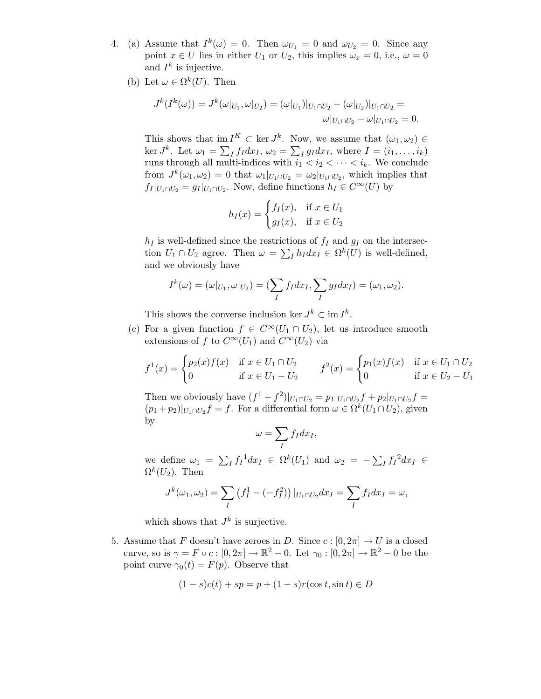- 4. (a) Assume that  $I^k(\omega) = 0$ . Then  $\omega_{U_1} = 0$  and  $\omega_{U_2} = 0$ . Since any point  $x \in U$  lies in either  $U_1$  or  $U_2$ , this implies  $\mathcal{L}_x = 0$ , i.e.,  $\mathcal{L}_y = 0$ and  $I^k$  is injective.
	- (b) Let  $\omega \in \Omega^k(U)$ . Then

$$
J^{k}(I^{k}(\omega)) = J^{k}(\omega|_{U_{1}}, \omega|_{U_{2}}) = (\omega|_{U_{1}})|_{U_{1} \cap U_{2}} - (\omega|_{U_{2}})|_{U_{1} \cap U_{2}} = \omega|_{U_{1} \cap U_{2}} - \omega|_{U_{1} \cap U_{2}} = 0.
$$

This shows that  $\text{im } I^K \subset \text{ker } J^k$ . Now, we assume that  $(\omega_1, \omega_2) \in$ ker  $J^k$ . Let  $\omega_1 = \sum_I f_I dx_I$ ,  $\omega_2 = \sum_I g_I dx_I$ , where  $I = (i_1, \ldots, i_k)$ runs through all multi-indices with  $i_1 < i_2 < \cdots < i_k$ . We conclude from  $J^k(\omega_1, \omega_2) = 0$  that  $\omega_1|_{U_1 \cap U_2} = \omega_2|_{U_1 \cap U_2}$ , which implies that  $f_I|_{U_1 \cap U_2} = g_I|_{U_1 \cap U_2}$ . Now, define functions  $h_I \in C^{\infty}(U)$  by

$$
h_I(x) = \begin{cases} f_I(x), & \text{if } x \in U_1 \\ g_I(x), & \text{if } x \in U_2 \end{cases}
$$

 $h_I$  is well-defined since the restrictions of  $f_I$  and  $g_I$  on the intersection  $U_1 \cap U_2$  agree. Then  $\omega = \sum_I h_I dx_I \in \Omega^k(U)$  is well-defined, and we obviously have

$$
I^k(\omega)=(\omega|_{U_1}, \omega|_{U_2})=(\sum_I f_I dx_I, \sum_I g_I dx_I)=(\omega_1, \omega_2).
$$

This shows the converse inclusion ker  $J^k \subset \text{im } I^k$ .

(c) For a given function  $f \in C^{\infty}(U_1 \cap U_2)$ , let us introduce smooth extensions of f to  $C^{\infty}(U_1)$  and  $C^{\infty}(U_2)$  via

$$
f^{1}(x) = \begin{cases} p_{2}(x)f(x) & \text{if } x \in U_{1} \cap U_{2} \\ 0 & \text{if } x \in U_{1} - U_{2} \end{cases} \qquad f^{2}(x) = \begin{cases} p_{1}(x)f(x) & \text{if } x \in U_{1} \cap U_{2} \\ 0 & \text{if } x \in U_{2} - U_{1} \end{cases}
$$

Then we obviously have  $(f^1 + f^2)|_{U_1 \cap U_2} = p_1|_{U_1 \cap U_2} f + p_2|_{U_1 \cap U_2} f =$  $(p_1 + p_2)|_{U_1 \cap U_2} f = f$ . For a differential form  $\omega \in \Omega^k(U_1 \cap U_2)$ , given by

$$
\omega = \sum_{I} f_I dx_I,
$$

we define  $\omega_1 = \sum_I f_I^{-1} dx_I \in \Omega^k(U_1)$  and  $\omega_2 = -\sum_I f_I^{-2} dx_I \in$  $\Omega^k(U_2)$ . Then

$$
J^k(\omega_1, \omega_2) = \sum_I \left( f_I^1 - (-f_I^2) \right) |_{U_1 \cap U_2} dx_I = \sum_I f_I dx_I = \omega,
$$

which shows that  $J^k$  is surjective.

5. Assume that F doesn't have zeroes in D. Since  $c : [0, 2\pi] \to U$  is a closed curve, so is  $\gamma = F \circ c : [0, 2\pi] \to \mathbb{R}^2 - 0$ . Let  $\gamma_0 : [0, 2\pi] \to \mathbb{R}^2 - 0$  be the point curve  $\gamma_0(t) = F(p)$ . Observe that

$$
(1-s)c(t) + sp = p + (1-s)r(\cos t, \sin t) \in D
$$